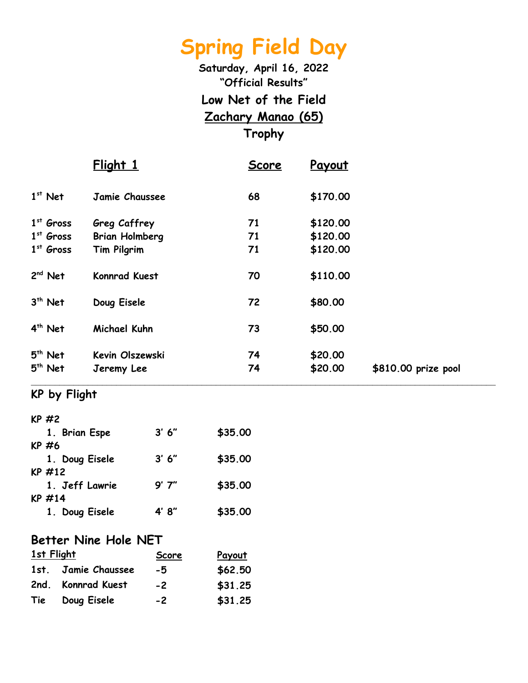**Saturday, April 16, 2022 "Official Results" Low Net of the Field Zachary Manao (65) Trophy**

|             | Flight 1              | Score | Payout   |                     |
|-------------|-----------------------|-------|----------|---------------------|
| $1st$ Net   | Jamie Chaussee        | 68    | \$170.00 |                     |
| $1st$ Gross | Greg Caffrey          | 71    | \$120.00 |                     |
| $1st$ Gross | <b>Brian Holmberg</b> | 71    | \$120.00 |                     |
| $1st$ Gross | Tim Pilgrim           | 71    | \$120.00 |                     |
| $2nd$ Net   | <b>Konnrad Kuest</b>  | 70    | \$110.00 |                     |
| $3th$ Net   | Doug Eisele           | 72    | \$80.00  |                     |
| $4th$ Net   | Michael Kuhn          | 73    | \$50.00  |                     |
| $5th$ Net   | Kevin Olszewski       | 74    | \$20.00  |                     |
| $5th$ Net   | Jeremy Lee            | 74    | \$20.00  | \$810.00 prize pool |
|             |                       |       |          |                     |

#### **KP by Flight**

| $KP$ #2        |        |         |
|----------------|--------|---------|
| 1. Brian Espe  | 3' 6'' | \$35.00 |
| KP #6          |        |         |
| 1. Doug Eisele | 3' 6'' | \$35.00 |
| KP #12         |        |         |
| 1. Jeff Lawrie | 9'7''  | \$35.00 |
| KP #14         |        |         |
| 1. Doug Eisele | 4′8″   | \$35.00 |

#### **Better Nine Hole NET**

| <b>1st Flight</b> |                     | <b>Score</b> | Payout  |
|-------------------|---------------------|--------------|---------|
|                   | 1st. Jamie Chaussee | -5           | \$62.50 |
|                   | 2nd. Konnrad Kuest  | $-2$         | \$31.25 |
| Tie               | Doug Eisele         | $-2$         | \$31.25 |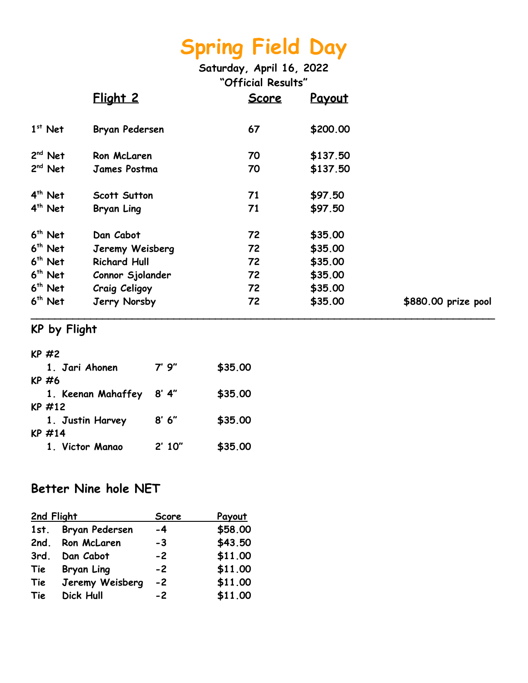**Saturday, April 16, 2022 "Official Results"**

|           | Flight 2             | <u>Score</u> | Payout   |                     |
|-----------|----------------------|--------------|----------|---------------------|
| $1st$ Net | Bryan Pedersen       | 67           | \$200.00 |                     |
| $2nd$ Net | Ron McLaren          | 70           | \$137.50 |                     |
| $2nd$ Net | <b>James Postma</b>  | 70           | \$137.50 |                     |
| $4th$ Net | <b>Scott Sutton</b>  | 71           | \$97.50  |                     |
| $4th$ Net | <b>Bryan Ling</b>    | 71           | \$97.50  |                     |
| $6th$ Net | Dan Cabot            | 72           | \$35.00  |                     |
| $6th$ Net | Jeremy Weisberg      | 72           | \$35.00  |                     |
| $6th$ Net | <b>Richard Hull</b>  | 72           | \$35.00  |                     |
| $6th$ Net | Connor Sjolander     | 72           | \$35.00  |                     |
| $6th$ Net | <b>Craig Celigoy</b> | 72           | \$35.00  |                     |
| $6th$ Net | Jerry Norsby         | 72           | \$35.00  | \$880.00 prize pool |

### **KP by Flight**

| KP $#2$            |        |         |
|--------------------|--------|---------|
| 1. Jari Ahonen     | 7' 9"  | \$35.00 |
| KP #6              |        |         |
| 1. Keenan Mahaffey | 8′ 4″  | \$35.00 |
| $KP$ #12           |        |         |
| 1. Justin Harvey   | 8′ 6″  | \$35.00 |
| $KP$ #14           |        |         |
| 1. Victor Manao    | 2'10'' | \$35.00 |
|                    |        |         |

#### **Better Nine hole NET**

| 2nd Flight |                  | Score | <b>Payout</b> |
|------------|------------------|-------|---------------|
| 1st.       | Bryan Pedersen   | $-4$  | \$58.00       |
|            | 2nd. Ron McLaren | -3    | \$43.50       |
| 3rd.       | Dan Cabot        | $-2$  | \$11.00       |
| Tie        | Bryan Ling       | $-2$  | \$11.00       |
| Tie        | Jeremy Weisberg  | $-2$  | \$11.00       |
| Tie        | <b>Dick Hull</b> | $-2$  | \$11.00       |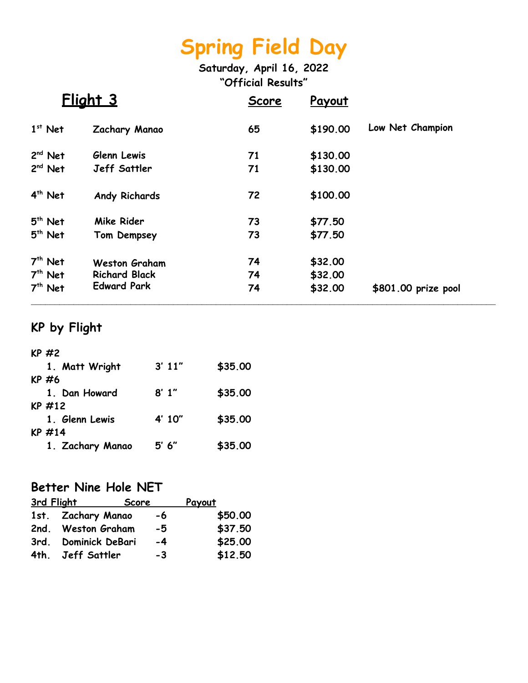**Saturday, April 16, 2022 "Official Results"**

|                                     | <u>Flight 3</u>                                                    | Score          | Payout                        |                     |
|-------------------------------------|--------------------------------------------------------------------|----------------|-------------------------------|---------------------|
| $1st$ Net                           | Zachary Manao                                                      | 65             | \$190.00                      | Low Net Champion    |
| $2nd$ Net                           | Glenn Lewis                                                        | 71             | \$130.00                      |                     |
| $2nd$ Net                           | <b>Jeff Sattler</b>                                                | 71             | \$130.00                      |                     |
| $4th$ Net                           | <b>Andy Richards</b>                                               | 72             | \$100.00                      |                     |
| $5th$ Net                           | Mike Rider                                                         | 73             | \$77.50                       |                     |
| $5th$ Net                           | Tom Dempsey                                                        | 73             | \$77.50                       |                     |
| $7th$ Net<br>$7th$ Net<br>$7th$ Net | <b>Weston Graham</b><br><b>Richard Black</b><br><b>Edward Park</b> | 74<br>74<br>74 | \$32.00<br>\$32.00<br>\$32.00 | \$801.00 prize pool |
|                                     |                                                                    |                |                               |                     |

## **KP by Flight**

| $KP$ #2          |        |         |
|------------------|--------|---------|
| 1. Matt Wright   | 3'11'' | \$35.00 |
| KP #6            |        |         |
| 1. Dan Howard    | 8'1''  | \$35.00 |
| $KP$ #12         |        |         |
| 1. Glenn Lewis   | 4' 10" | \$35.00 |
| KP #14           |        |         |
| 1. Zachary Manao | 5' 6'' | \$35.00 |
|                  |        |         |

#### **Better Nine Hole NET**

| 3rd Flight<br>Score  |    | <u>Payout</u> |
|----------------------|----|---------------|
| 1st. Zachary Manao   | -6 | \$50.00       |
| 2nd. Weston Graham   | -5 | \$37.50       |
| 3rd. Dominick DeBari | -4 | \$25.00       |
| 4th. Jeff Sattler    | -3 | \$12.50       |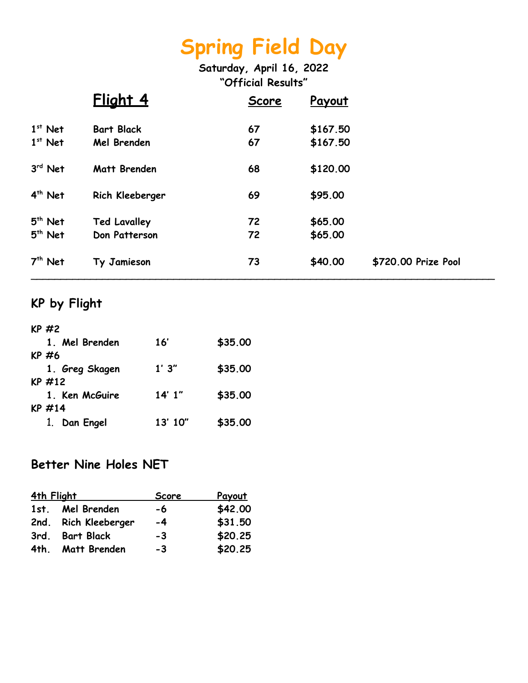**Saturday, April 16, 2022 "Official Results"**

|           | Flight 4            | Score | Payout   |                     |
|-----------|---------------------|-------|----------|---------------------|
| $1st$ Net | <b>Bart Black</b>   | 67    | \$167.50 |                     |
| $1st$ Net | Mel Brenden         | 67    | \$167.50 |                     |
| $3rd$ Net | Matt Brenden        | 68    | \$120.00 |                     |
| $4th$ Net | Rich Kleeberger     | 69    | \$95.00  |                     |
| $5th$ Net | <b>Ted Lavalley</b> | 72    | \$65.00  |                     |
| $5th$ Net | Don Patterson       | 72    | \$65.00  |                     |
| $7th$ Net | Ty Jamieson         | 73    | \$40.00  | \$720.00 Prize Pool |

### **KP by Flight**

| $KP$ #2        |         |         |
|----------------|---------|---------|
| 1. Mel Brenden | 16'     | \$35.00 |
| KP #6          |         |         |
| 1. Greg Skagen | 1'3''   | \$35.00 |
| KP #12         |         |         |
| 1. Ken McGuire | 14'1''  | \$35.00 |
| KP#14          |         |         |
| 1. Dan Engel   | 13' 10" | \$35.00 |

#### **Better Nine Holes NET**

| 4th Flight |                      | <b>Score</b> | <u>Payout</u> |
|------------|----------------------|--------------|---------------|
|            | 1st. Mel Brenden     | -6           | \$42.00       |
|            | 2nd. Rich Kleeberger | $-4$         | \$31.50       |
|            | 3rd. Bart Black      | -3           | \$20.25       |
|            | 4th. Matt Brenden    | -3           | \$20.25       |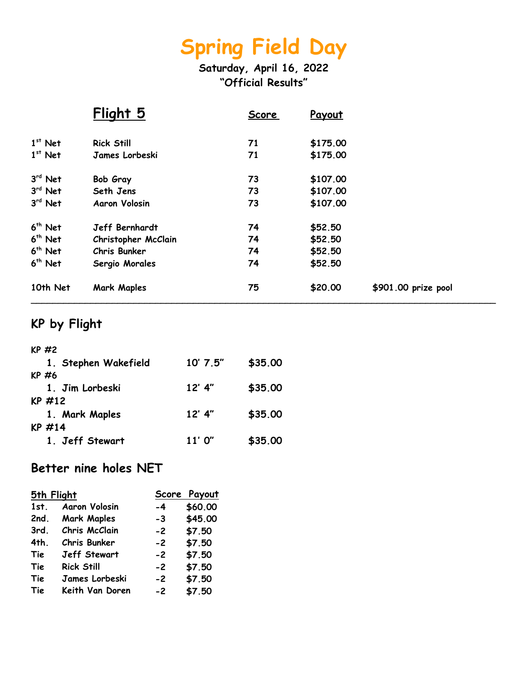**Saturday, April 16, 2022 "Official Results"**

|           | Flight 5              | <u>Score</u> | Payout   |                     |
|-----------|-----------------------|--------------|----------|---------------------|
| $1st$ Net | <b>Rick Still</b>     | 71           | \$175.00 |                     |
| $1st$ Net | James Lorbeski        | 71           | \$175.00 |                     |
| $3rd$ Net | Bob Gray              | 73           | \$107.00 |                     |
| $3rd$ Net | Seth Jens             | 73           | \$107.00 |                     |
| $3rd$ Net | <b>Aaron Volosin</b>  | 73           | \$107.00 |                     |
| $6th$ Net | <b>Jeff Bernhardt</b> | 74           | \$52.50  |                     |
| $6th$ Net | Christopher McClain   | 74           | \$52.50  |                     |
| $6th$ Net | Chris Bunker          | 74           | \$52.50  |                     |
| $6th$ Net | Sergio Morales        | 74           | \$52.50  |                     |
| 10th Net  | <b>Mark Maples</b>    | 75           | \$20.00  | \$901.00 prize pool |

### **KP by Flight**

| $KP$ #2              |          |         |
|----------------------|----------|---------|
| 1. Stephen Wakefield | 10' 7.5" | \$35.00 |
| KP #6                |          |         |
| 1. Jim Lorbeski      | $12'$ 4" | \$35.00 |
| $KP$ #12             |          |         |
| 1. Mark Maples       | $12'$ 4" | \$35.00 |
| KP $#14$             |          |         |
| 1. Jeff Stewart      | 11'0''   | \$35.00 |

### **Better nine holes NET**

| 5th Flight |                      | <b>Score</b> | <b>Payout</b> |
|------------|----------------------|--------------|---------------|
| 1st.       | <b>Aaron Volosin</b> | -4           | \$60.00       |
| 2nd.       | <b>Mark Maples</b>   | -3           | \$45.00       |
| 3rd        | Chris McClain        | $-2$         | \$7.50        |
| 4th.       | Chris Bunker         | $-2$         | \$7.50        |
| Tie        | <b>Jeff Stewart</b>  | $-2$         | \$7.50        |
| Tie        | <b>Rick Still</b>    | $-2$         | \$7.50        |
| Tie        | James Lorbeski       | $-2$         | \$7.50        |
| Tie        | Keith Van Doren      | $-2$         | \$7.50        |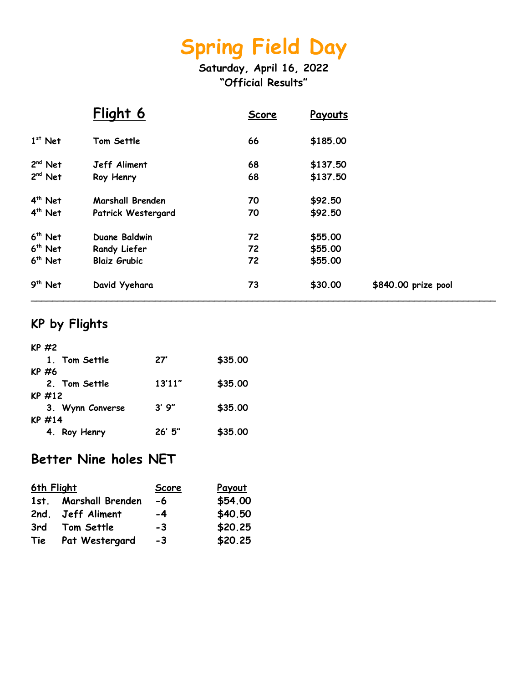**Saturday, April 16, 2022 "Official Results"**

|           | Flight 6                | <b>Score</b> | Payouts  |                     |
|-----------|-------------------------|--------------|----------|---------------------|
| $1st$ Net | Tom Settle              | 66           | \$185.00 |                     |
| $2nd$ Net | Jeff Aliment            | 68           | \$137.50 |                     |
| $2nd$ Net | Roy Henry               | 68           | \$137.50 |                     |
| $4th$ Net | <b>Marshall Brenden</b> | 70           | \$92.50  |                     |
| $4th$ Net | Patrick Westergard      | 70           | \$92.50  |                     |
| $6th$ Net | <b>Duane Baldwin</b>    | 72           | \$55.00  |                     |
| $6th$ Net | Randy Liefer            | 72           | \$55.00  |                     |
| $6th$ Net | <b>Blaiz Grubic</b>     | 72           | \$55.00  |                     |
| $9th$ Net | David Yyehara           | 73           | \$30.00  | \$840.00 prize pool |

### **KP by Flights**

| $KP$ #2          |        |         |
|------------------|--------|---------|
| 1. Tom Settle    | 27'    | \$35.00 |
| KP #6            |        |         |
| 2. Tom Settle    | 13'11" | \$35.00 |
| $KP$ #12         |        |         |
| 3. Wynn Converse | 3'9''  | \$35.00 |
| $KP$ #14         |        |         |
| 4. Roy Henry     | 26'5'' | \$35.00 |
|                  |        |         |

### **Better Nine holes NET**

| 6th Flight |                       | <b>Score</b> | <u>Payout</u> |
|------------|-----------------------|--------------|---------------|
|            | 1st. Marshall Brenden | -6           | \$54.00       |
|            | 2nd. Jeff Aliment     | -4           | \$40.50       |
| 3rd        | Tom Settle            | -3           | \$20.25       |
| Tie        | Pat Westergard        | -3           | \$20.25       |